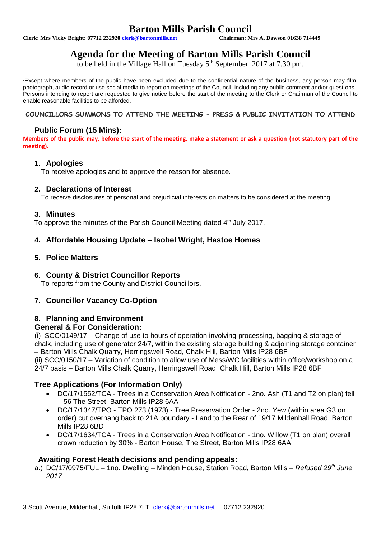# **Barton Mills Parish Council**<br>Chairman: Mrs A. Dawson 01638 714449

**Clerk: Mrs Vicky Bright: 07712 232920 clerk@bartonmills.net** 

# **Agenda for the Meeting of Barton Mills Parish Council**

to be held in the Village Hall on Tuesday  $5<sup>th</sup>$  September 2017 at 7.30 pm.

\*Except where members of the public have been excluded due to the confidential nature of the business, any person may film, photograph, audio record or use social media to report on meetings of the Council, including any public comment and/or questions. Persons intending to report are requested to give notice before the start of the meeting to the Clerk or Chairman of the Council to enable reasonable facilities to be afforded.

#### **COUNCILLORS SUMMONS TO ATTEND THE MEETING - PRESS & PUBLIC INVITATION TO ATTEND**

# **Public Forum (15 Mins):**

**Members of the public may, before the start of the meeting, make a statement or ask a question (not statutory part of the meeting).**

#### **1. Apologies**

To receive apologies and to approve the reason for absence.

#### **2. Declarations of Interest**

To receive disclosures of personal and prejudicial interests on matters to be considered at the meeting.

#### **3. Minutes**

To approve the minutes of the Parish Council Meeting dated 4<sup>th</sup> July 2017.

## **4. Affordable Housing Update – Isobel Wright, Hastoe Homes**

#### **5. Police Matters**

## **6. County & District Councillor Reports**

To reports from the County and District Councillors.

## **7. Councillor Vacancy Co-Option**

## **8. Planning and Environment**

#### **General & For Consideration:**

(i) SCC/0149/17 – Change of use to hours of operation involving processing, bagging & storage of chalk, including use of generator 24/7, within the existing storage building & adjoining storage container – Barton Mills Chalk Quarry, Herringswell Road, Chalk Hill, Barton Mills IP28 6BF (ii) SCC/0150/17 – Variation of condition to allow use of Mess/WC facilities within office/workshop on a 24/7 basis – Barton Mills Chalk Quarry, Herringswell Road, Chalk Hill, Barton Mills IP28 6BF

## **Tree Applications (For Information Only)**

- DC/17/1552/TCA Trees in a Conservation Area Notification 2no. Ash (T1 and T2 on plan) fell – 56 The Street, Barton Mills IP28 6AA
- DC/17/1347/TPO TPO 273 (1973) Tree Preservation Order 2no. Yew (within area G3 on order) cut overhang back to 21A boundary - Land to the Rear of 19/17 Mildenhall Road, Barton Mills IP28 6BD
- DC/17/1634/TCA Trees in a Conservation Area Notification 1no. Willow (T1 on plan) overall crown reduction by 30% - Barton House, The Street, Barton Mills IP28 6AA

#### **Awaiting Forest Heath decisions and pending appeals:**

a.) DC/17/0975/FUL – 1no. Dwelling – Minden House, Station Road, Barton Mills – *Refused 29th June 2017*